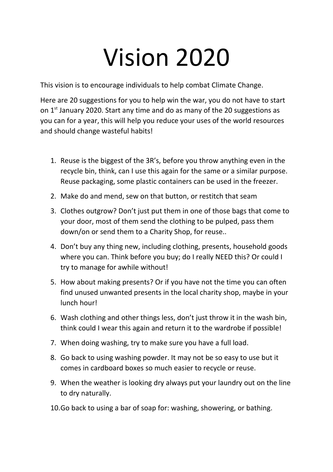## Vision 2020

This vision is to encourage individuals to help combat Climate Change.

Here are 20 suggestions for you to help win the war, you do not have to start on  $1<sup>st</sup>$  January 2020. Start any time and do as many of the 20 suggestions as you can for a year, this will help you reduce your uses of the world resources and should change wasteful habits!

- 1. Reuse is the biggest of the 3R's, before you throw anything even in the recycle bin, think, can I use this again for the same or a similar purpose. Reuse packaging, some plastic containers can be used in the freezer.
- 2. Make do and mend, sew on that button, or restitch that seam
- 3. Clothes outgrow? Don't just put them in one of those bags that come to your door, most of them send the clothing to be pulped, pass them down/on or send them to a Charity Shop, for reuse..
- 4. Don't buy any thing new, including clothing, presents, household goods where you can. Think before you buy; do I really NEED this? Or could I try to manage for awhile without!
- 5. How about making presents? Or if you have not the time you can often find unused unwanted presents in the local charity shop, maybe in your lunch hour!
- 6. Wash clothing and other things less, don't just throw it in the wash bin, think could I wear this again and return it to the wardrobe if possible!
- 7. When doing washing, try to make sure you have a full load.
- 8. Go back to using washing powder. It may not be so easy to use but it comes in cardboard boxes so much easier to recycle or reuse.
- 9. When the weather is looking dry always put your laundry out on the line to dry naturally.
- 10.Go back to using a bar of soap for: washing, showering, or bathing.